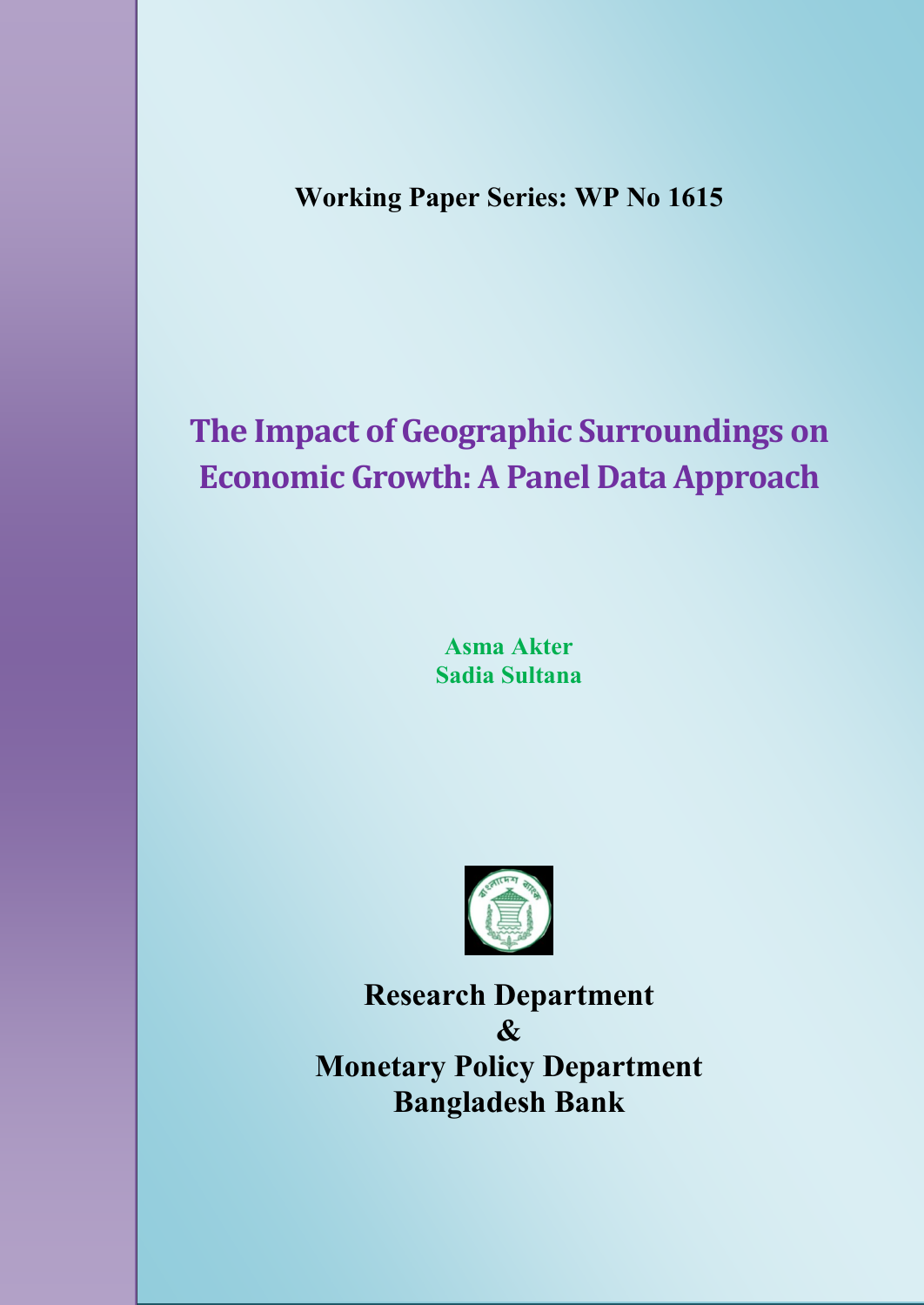**Working Paper Series: WP No 1615**

# **The Impact of Geographic Surroundings on Economic Growth: A Panel Data Approach**

**Asma Akter Sadia Sultana**



**Research Department & Monetary Policy Department Bangladesh Bank**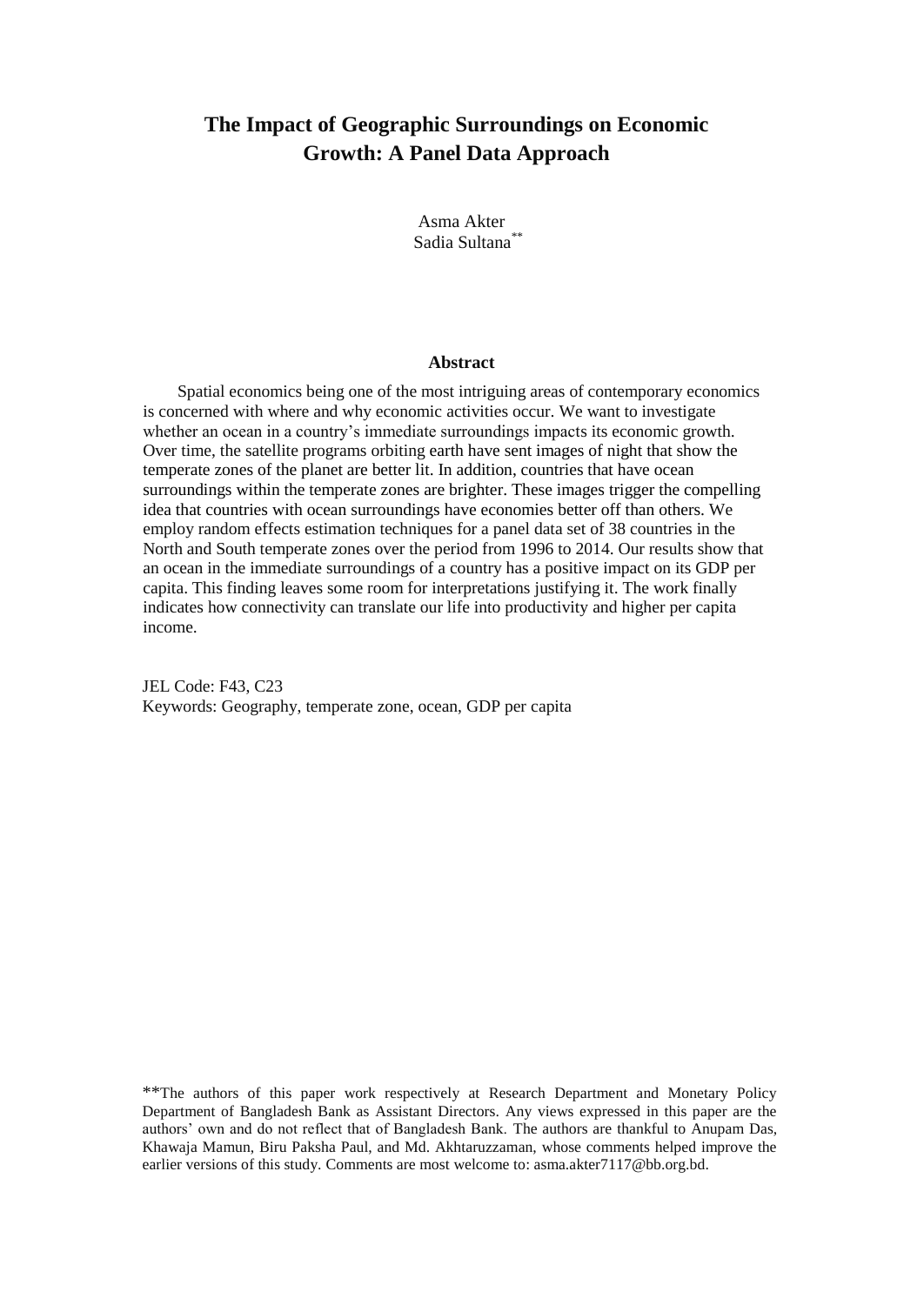# **The Impact of Geographic Surroundings on Economic Growth: A Panel Data Approach**

Asma Akter Sadia Sultana\*\*

#### **Abstract**

Spatial economics being one of the most intriguing areas of contemporary economics is concerned with where and why economic activities occur. We want to investigate whether an ocean in a country's immediate surroundings impacts its economic growth. Over time, the satellite programs orbiting earth have sent images of night that show the temperate zones of the planet are better lit. In addition, countries that have ocean surroundings within the temperate zones are brighter. These images trigger the compelling idea that countries with ocean surroundings have economies better off than others. We employ random effects estimation techniques for a panel data set of 38 countries in the North and South temperate zones over the period from 1996 to 2014. Our results show that an ocean in the immediate surroundings of a country has a positive impact on its GDP per capita. This finding leaves some room for interpretations justifying it. The work finally indicates how connectivity can translate our life into productivity and higher per capita income.

JEL Code: F43, C23 Keywords: Geography, temperate zone, ocean, GDP per capita

\*\*The authors of this paper work respectively at Research Department and Monetary Policy Department of Bangladesh Bank as Assistant Directors. Any views expressed in this paper are the authors' own and do not reflect that of Bangladesh Bank. The authors are thankful to Anupam Das, Khawaja Mamun, Biru Paksha Paul, and Md. Akhtaruzzaman, whose comments helped improve the earlier versions of this study. Comments are most welcome to: asma.akter7117@bb.org.bd.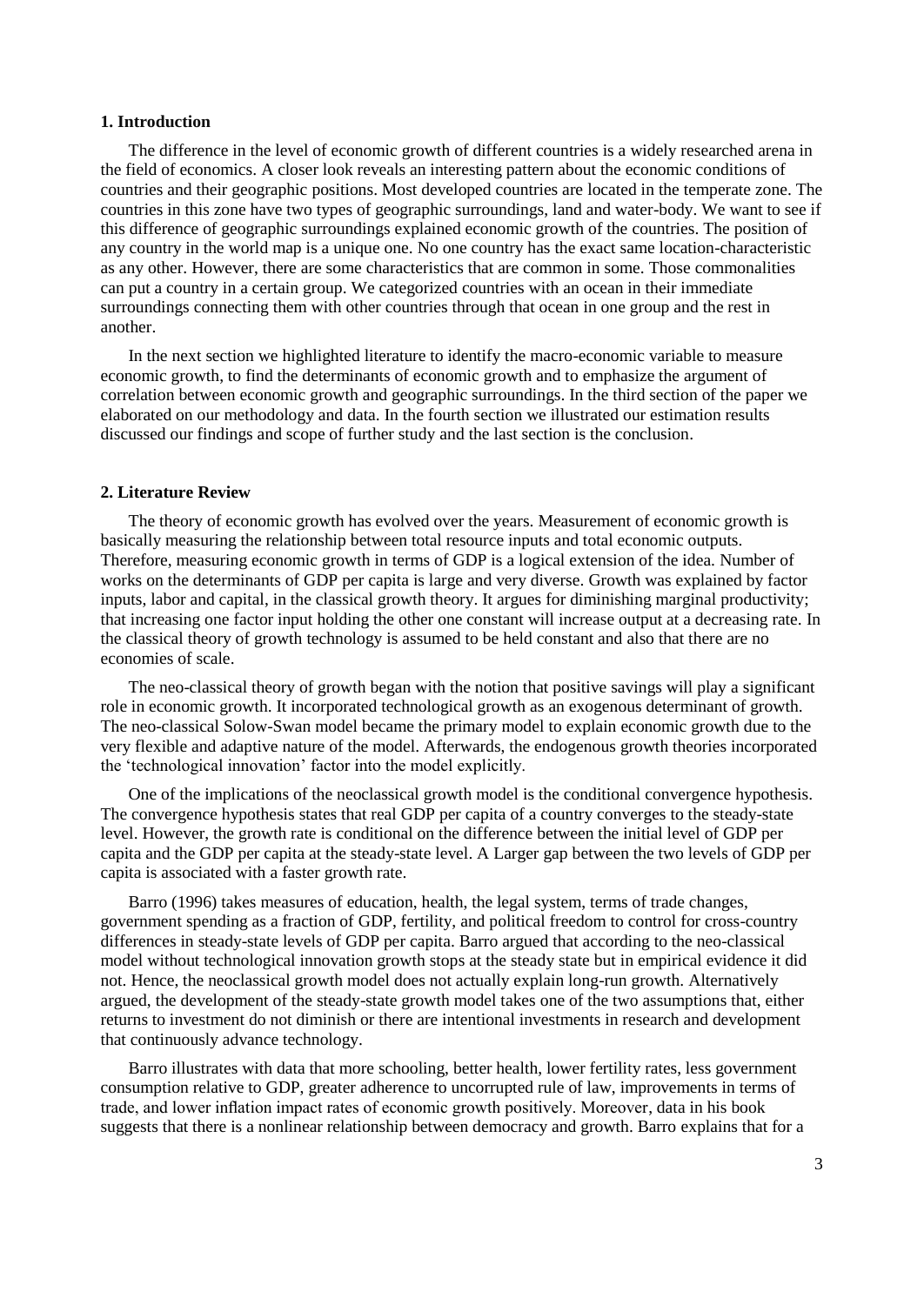#### **1. Introduction**

The difference in the level of economic growth of different countries is a widely researched arena in the field of economics. A closer look reveals an interesting pattern about the economic conditions of countries and their geographic positions. Most developed countries are located in the temperate zone. The countries in this zone have two types of geographic surroundings, land and water-body. We want to see if this difference of geographic surroundings explained economic growth of the countries. The position of any country in the world map is a unique one. No one country has the exact same location-characteristic as any other. However, there are some characteristics that are common in some. Those commonalities can put a country in a certain group. We categorized countries with an ocean in their immediate surroundings connecting them with other countries through that ocean in one group and the rest in another.

In the next section we highlighted literature to identify the macro-economic variable to measure economic growth, to find the determinants of economic growth and to emphasize the argument of correlation between economic growth and geographic surroundings. In the third section of the paper we elaborated on our methodology and data. In the fourth section we illustrated our estimation results discussed our findings and scope of further study and the last section is the conclusion.

#### **2. Literature Review**

The theory of economic growth has evolved over the years. Measurement of economic growth is basically measuring the relationship between total resource inputs and total economic outputs. Therefore, measuring economic growth in terms of GDP is a logical extension of the idea. Number of works on the determinants of GDP per capita is large and very diverse. Growth was explained by factor inputs, labor and capital, in the classical growth theory. It argues for diminishing marginal productivity; that increasing one factor input holding the other one constant will increase output at a decreasing rate. In the classical theory of growth technology is assumed to be held constant and also that there are no economies of scale.

The neo-classical theory of growth began with the notion that positive savings will play a significant role in economic growth. It incorporated technological growth as an exogenous determinant of growth. The neo-classical Solow-Swan model became the primary model to explain economic growth due to the very flexible and adaptive nature of the model. Afterwards, the endogenous growth theories incorporated the 'technological innovation' factor into the model explicitly.

One of the implications of the neoclassical growth model is the conditional convergence hypothesis. The convergence hypothesis states that real GDP per capita of a country converges to the steady-state level. However, the growth rate is conditional on the difference between the initial level of GDP per capita and the GDP per capita at the steady-state level. A Larger gap between the two levels of GDP per capita is associated with a faster growth rate.

Barro (1996) takes measures of education, health, the legal system, terms of trade changes, government spending as a fraction of GDP, fertility, and political freedom to control for cross-country differences in steady-state levels of GDP per capita. Barro argued that according to the neo-classical model without technological innovation growth stops at the steady state but in empirical evidence it did not. Hence, the neoclassical growth model does not actually explain long-run growth. Alternatively argued, the development of the steady-state growth model takes one of the two assumptions that, either returns to investment do not diminish or there are intentional investments in research and development that continuously advance technology.

Barro illustrates with data that more schooling, better health, lower fertility rates, less government consumption relative to GDP, greater adherence to uncorrupted rule of law, improvements in terms of trade, and lower inflation impact rates of economic growth positively. Moreover, data in his book suggests that there is a nonlinear relationship between democracy and growth. Barro explains that for a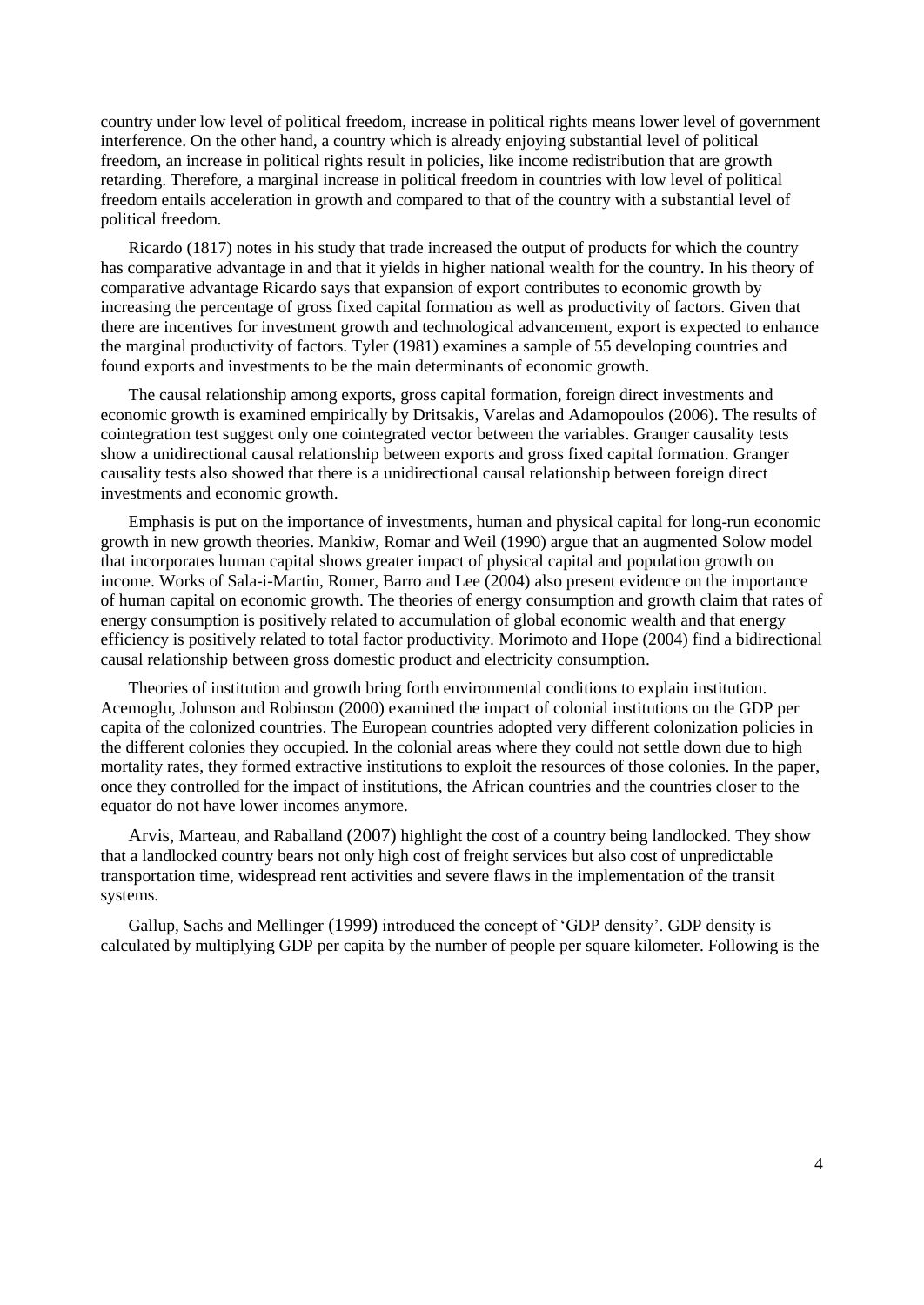country under low level of political freedom, increase in political rights means lower level of government interference. On the other hand, a country which is already enjoying substantial level of political freedom, an increase in political rights result in policies, like income redistribution that are growth retarding. Therefore, a marginal increase in political freedom in countries with low level of political freedom entails acceleration in growth and compared to that of the country with a substantial level of political freedom.

Ricardo (1817) notes in his study that trade increased the output of products for which the country has comparative advantage in and that it yields in higher national wealth for the country. In his theory of comparative advantage Ricardo says that expansion of export contributes to economic growth by increasing the percentage of gross fixed capital formation as well as productivity of factors. Given that there are incentives for investment growth and technological advancement, export is expected to enhance the marginal productivity of factors. Tyler (1981) examines a sample of 55 developing countries and found exports and investments to be the main determinants of economic growth.

The causal relationship among exports, gross capital formation, foreign direct investments and economic growth is examined empirically by Dritsakis, Varelas and Adamopoulos (2006). The results of cointegration test suggest only one cointegrated vector between the variables. Granger causality tests show a unidirectional causal relationship between exports and gross fixed capital formation. Granger causality tests also showed that there is a unidirectional causal relationship between foreign direct investments and economic growth.

Emphasis is put on the importance of investments, human and physical capital for long-run economic growth in new growth theories. Mankiw, Romar and Weil (1990) argue that an augmented Solow model that incorporates human capital shows greater impact of physical capital and population growth on income. Works of Sala-i-Martin, Romer, Barro and Lee (2004) also present evidence on the importance of human capital on economic growth. The theories of energy consumption and growth claim that rates of energy consumption is positively related to accumulation of global economic wealth and that energy efficiency is positively related to total factor productivity. Morimoto and Hope (2004) find a bidirectional causal relationship between gross domestic product and electricity consumption.

Theories of institution and growth bring forth environmental conditions to explain institution. Acemoglu, Johnson and Robinson (2000) examined the impact of colonial institutions on the GDP per capita of the colonized countries. The European countries adopted very different colonization policies in the different colonies they occupied. In the colonial areas where they could not settle down due to high mortality rates, they formed extractive institutions to exploit the resources of those colonies. In the paper, once they controlled for the impact of institutions, the African countries and the countries closer to the equator do not have lower incomes anymore.

Arvis, [Marteau,](http://elibrary.worldbank.org/author/Marteau%2C+Jean-Francois) and [Raballand](http://elibrary.worldbank.org/author/Raballand%2C+Gael) (2007) highlight the cost of a country being landlocked. They show that a landlocked country bears not only high cost of freight services but also cost of unpredictable transportation time, widespread rent activities and severe flaws in the implementation of the transit systems.

[Gallup, Sachs and](http://www.earthinstitute.columbia.edu/about/director/documents/irsr0899.pdf) Mellinger (1999) introduced the concept of 'GDP density'. GDP density is calculated by multiplying GDP per capita by the number of people per square kilometer. Following is the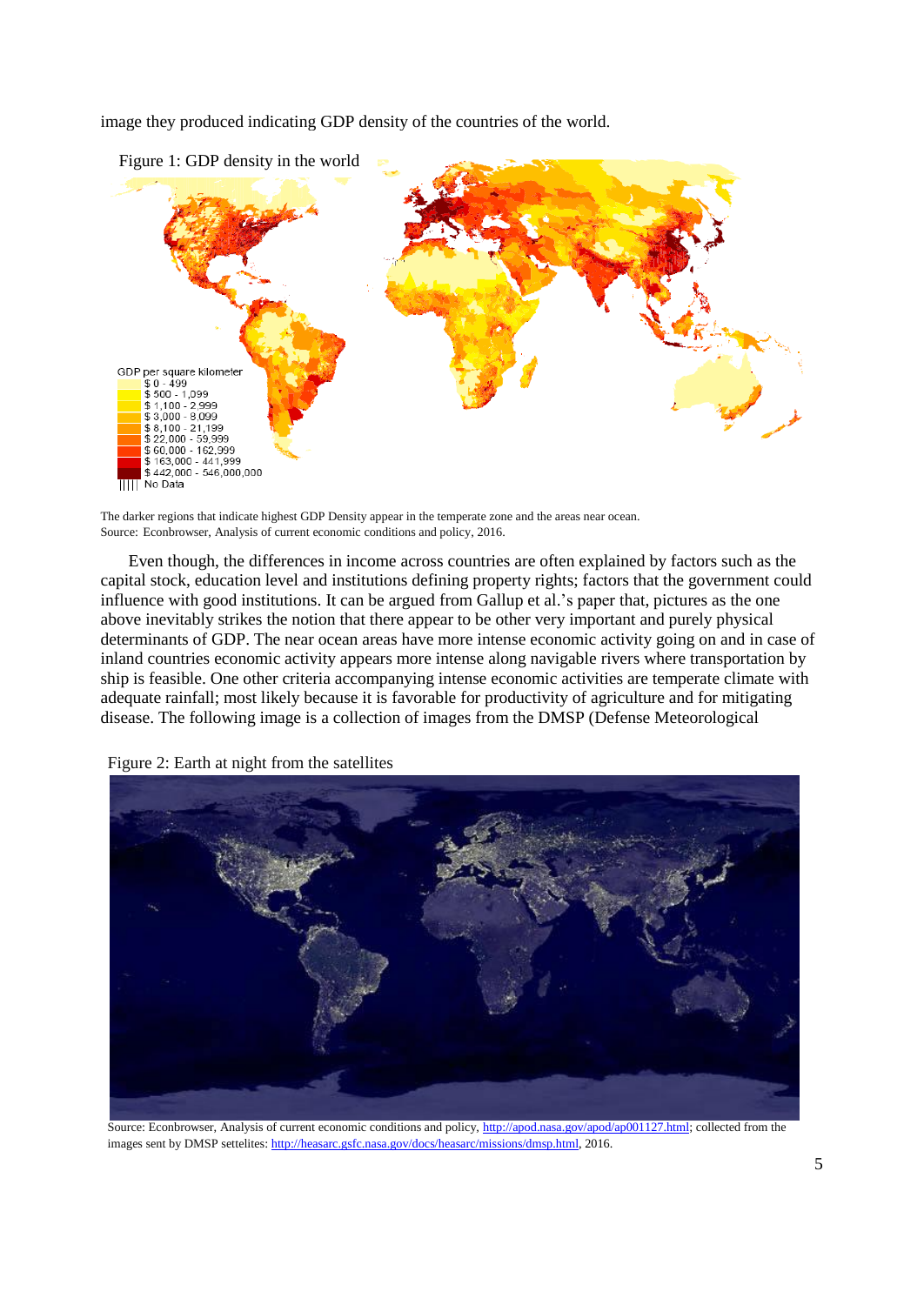image they produced indicating GDP density of the countries of the world.



The darker regions that indicate highest GDP Density appear in the temperate zone and the areas near ocean. Source: Econbrowser, Analysis of current economic conditions and policy, 2016.

Even though, the differences in income across countries are often explained by factors such as the capital stock, education level and institutions defining property rights; factors that the government could influence with good institutions. It can be argued from Gallup et al.'s paper that, pictures as the one above inevitably strikes the notion that there appear to be other very important and purely physical determinants of GDP. The near ocean areas have more intense economic activity going on and in case of inland countries economic activity appears more intense along navigable rivers where transportation by ship is feasible. One other criteria accompanying intense economic activities are temperate climate with adequate rainfall; most likely because it is favorable for productivity of agriculture and for mitigating disease. The following image is a collection of images from the DMSP (Defense Meteorological

Figure 2: Earth at night from the satellites



Source: Econbrowser, Analysis of current economic conditions and policy[, http://apod.nasa.gov/apod/ap001127.html;](http://apod.nasa.gov/apod/ap001127.html) collected from the images sent by DMSP settelites: [http://heasarc.gsfc.nasa.gov/docs/heasarc/missions/dmsp.html,](http://heasarc.gsfc.nasa.gov/docs/heasarc/missions/dmsp.html) 2016.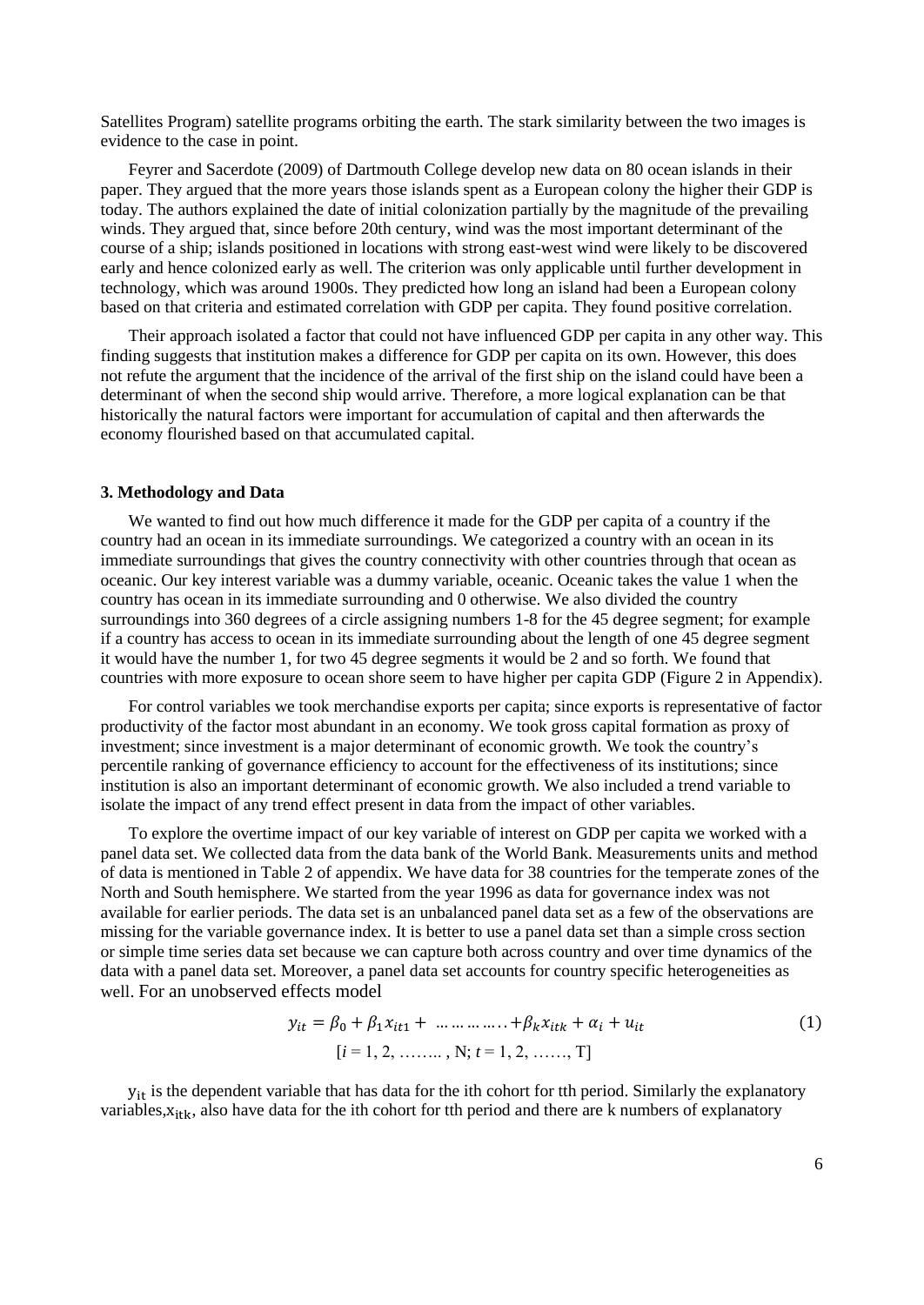Satellites Program) satellite programs orbiting the earth. The stark similarity between the two images is evidence to the case in point.

Feyrer and Sacerdote (2009) of Dartmouth College develop new data on 80 ocean islands in their paper. They argued that the more years those islands spent as a European colony the higher their GDP is today. The authors explained the date of initial colonization partially by the magnitude of the prevailing winds. They argued that, since before 20th century, wind was the most important determinant of the course of a ship; islands positioned in locations with strong east-west wind were likely to be discovered early and hence colonized early as well. The criterion was only applicable until further development in technology, which was around 1900s. They predicted how long an island had been a European colony based on that criteria and estimated correlation with GDP per capita. They found positive correlation.

Their approach isolated a factor that could not have influenced GDP per capita in any other way. This finding suggests that institution makes a difference for GDP per capita on its own. However, this does not refute the argument that the incidence of the arrival of the first ship on the island could have been a determinant of when the second ship would arrive. Therefore, a more logical explanation can be that historically the natural factors were important for accumulation of capital and then afterwards the economy flourished based on that accumulated capital.

#### **3. Methodology and Data**

We wanted to find out how much difference it made for the GDP per capita of a country if the country had an ocean in its immediate surroundings. We categorized a country with an ocean in its immediate surroundings that gives the country connectivity with other countries through that ocean as oceanic. Our key interest variable was a dummy variable, oceanic. Oceanic takes the value 1 when the country has ocean in its immediate surrounding and 0 otherwise. We also divided the country surroundings into 360 degrees of a circle assigning numbers 1-8 for the 45 degree segment; for example if a country has access to ocean in its immediate surrounding about the length of one 45 degree segment it would have the number 1, for two 45 degree segments it would be 2 and so forth. We found that countries with more exposure to ocean shore seem to have higher per capita GDP (Figure 2 in Appendix).

For control variables we took merchandise exports per capita; since exports is representative of factor productivity of the factor most abundant in an economy. We took gross capital formation as proxy of investment; since investment is a major determinant of economic growth. We took the country's percentile ranking of governance efficiency to account for the effectiveness of its institutions; since institution is also an important determinant of economic growth. We also included a trend variable to isolate the impact of any trend effect present in data from the impact of other variables.

To explore the overtime impact of our key variable of interest on GDP per capita we worked with a panel data set. We collected data from the data bank of the World Bank. Measurements units and method of data is mentioned in Table 2 of appendix. We have data for 38 countries for the temperate zones of the North and South hemisphere. We started from the year 1996 as data for governance index was not available for earlier periods. The data set is an unbalanced panel data set as a few of the observations are missing for the variable governance index. It is better to use a panel data set than a simple cross section or simple time series data set because we can capture both across country and over time dynamics of the data with a panel data set. Moreover, a panel data set accounts for country specific heterogeneities as well. For an unobserved effects model

$$
y_{it} = \beta_0 + \beta_1 x_{it1} + \dots + \beta_k x_{itk} + \alpha_i + u_{it}
$$
  
[*i* = 1, 2, ..., , N; *t* = 1, 2, ...,, T] (1)

 $y_{it}$  is the dependent variable that has data for the ith cohort for tth period. Similarly the explanatory variables,  $x_{itk}$ , also have data for the ith cohort for tth period and there are k numbers of explanatory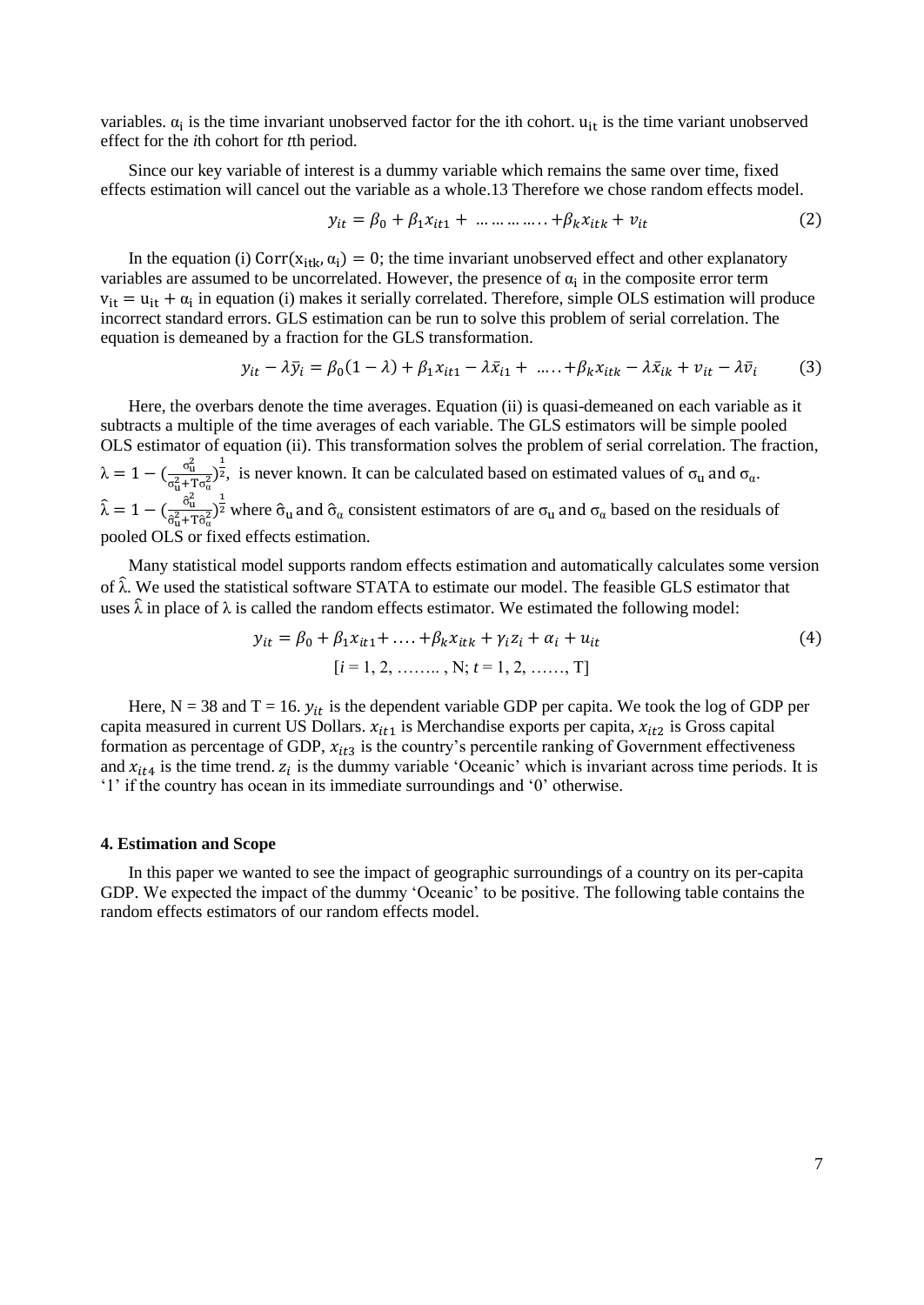variables.  $\alpha_i$  is the time invariant unobserved factor for the ith cohort.  $u_{it}$  is the time variant unobserved effect for the *i*th cohort for *t*th period.

Since our key variable of interest is a dummy variable which remains the same over time, fixed effects estimation will cancel out the variable as a whole.13 Therefore we chose random effects model.

$$
y_{it} = \beta_0 + \beta_1 x_{it1} + \dots + \beta_k x_{itk} + v_{it}
$$
 (2)

In the equation (i)  $Corr(x_{itk}, \alpha_i) = 0$ ; the time invariant unobserved effect and other explanatory variables are assumed to be uncorrelated. However, the presence of  $\alpha_i$  in the composite error term  $v_{it} = u_{it} + \alpha_i$  in equation (i) makes it serially correlated. Therefore, simple OLS estimation will produce incorrect standard errors. GLS estimation can be run to solve this problem of serial correlation. The equation is demeaned by a fraction for the GLS transformation.

$$
y_{it} - \lambda \bar{y}_i = \beta_0 (1 - \lambda) + \beta_1 x_{it1} - \lambda \bar{x}_{i1} + \dots + \beta_k x_{itk} - \lambda \bar{x}_{ik} + v_{it} - \lambda \bar{v}_i
$$
(3)

Here, the overbars denote the time averages. Equation (ii) is quasi-demeaned on each variable as it subtracts a multiple of the time averages of each variable. The GLS estimators will be simple pooled OLS estimator of equation (ii). This transformation solves the problem of serial correlation. The fraction,  $\lambda = 1 - \left( \frac{\sigma_u^2}{2} \right)$  $\sigma_u^2 + T \sigma_a^2$  $\frac{1}{2}$ , is never known. It can be calculated based on estimated values of  $\sigma_u$  and  $\sigma_u$ .  $\hat{\lambda} = 1 - (\frac{\hat{\sigma}_{u}^{2}}{2^{2}+7})$  $\hat{\sigma}_{\mathbf{u}}^2 + \mathbf{T} \hat{\sigma}_{\alpha}^2$  $\frac{1}{2}$  where  $\hat{\sigma}_{u}$  and  $\hat{\sigma}_{\alpha}$  consistent estimators of are  $\sigma_{u}$  and  $\sigma_{\alpha}$  based on the residuals of pooled OLS or fixed effects estimation.

Many statistical model supports random effects estimation and automatically calculates some version of  $\hat{\lambda}$ . We used the statistical software STATA to estimate our model. The feasible GLS estimator that uses  $\hat{\lambda}$  in place of  $\lambda$  is called the random effects estimator. We estimated the following model:

$$
y_{it} = \beta_0 + \beta_1 x_{it1} + \dots + \beta_k x_{itk} + \gamma_i z_i + \alpha_i + u_{it}
$$
  
\n[*i* = 1, 2, ..., , N; *t* = 1, 2, ..., T] (4)

Here,  $N = 38$  and  $T = 16$ .  $y_{it}$  is the dependent variable GDP per capita. We took the log of GDP per capita measured in current US Dollars.  $x_{it1}$  is Merchandise exports per capita,  $x_{it2}$  is Gross capital formation as percentage of GDP,  $x_{it3}$  is the country's percentile ranking of Government effectiveness and  $x_{it4}$  is the time trend.  $z_i$  is the dummy variable 'Oceanic' which is invariant across time periods. It is '1' if the country has ocean in its immediate surroundings and '0' otherwise.

#### **4. Estimation and Scope**

In this paper we wanted to see the impact of geographic surroundings of a country on its per-capita GDP. We expected the impact of the dummy 'Oceanic' to be positive. The following table contains the random effects estimators of our random effects model.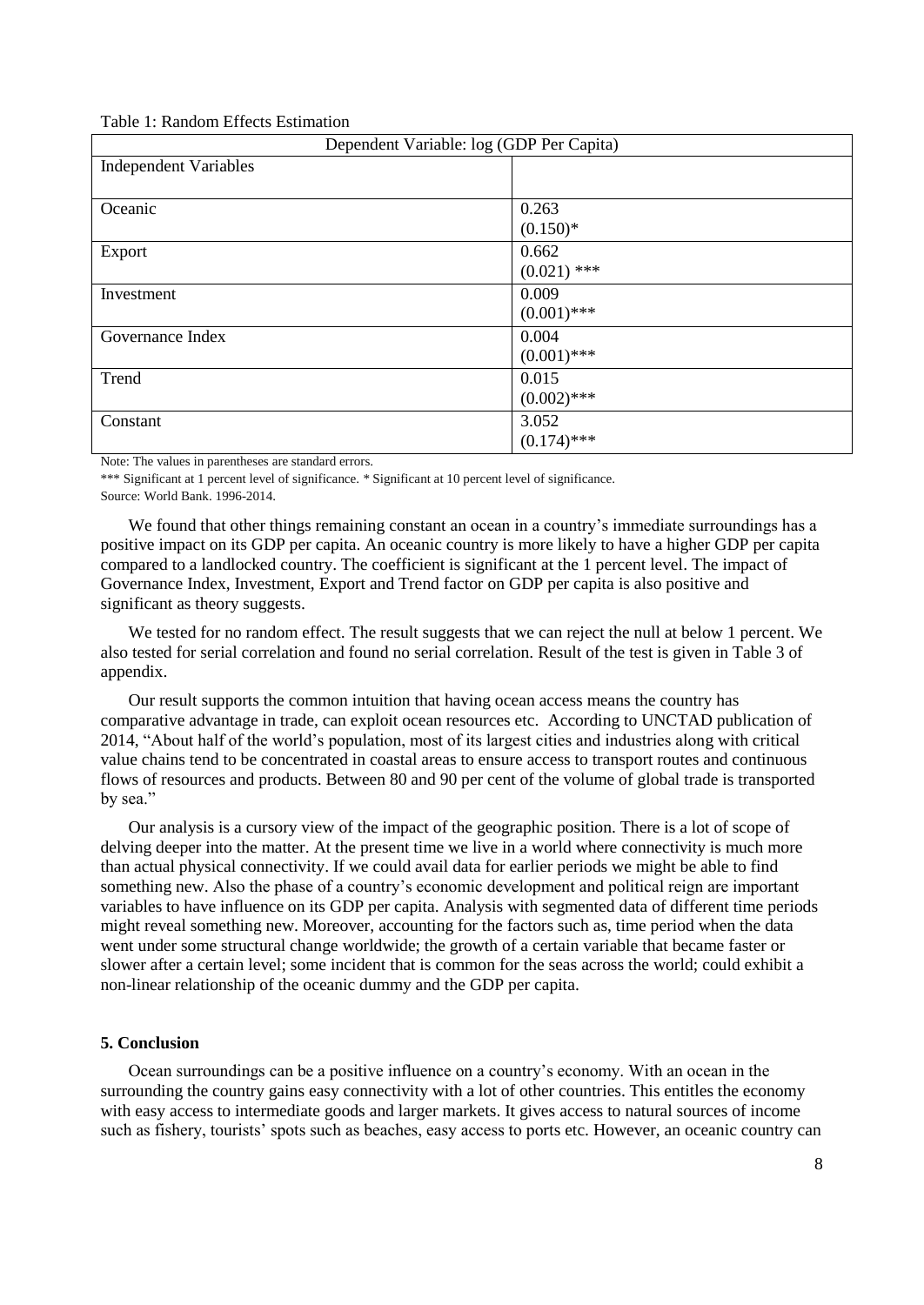Table 1: Random Effects Estimation

| Dependent Variable: log (GDP Per Capita) |               |  |  |
|------------------------------------------|---------------|--|--|
| <b>Independent Variables</b>             |               |  |  |
|                                          |               |  |  |
| Oceanic                                  | 0.263         |  |  |
|                                          | $(0.150)*$    |  |  |
| Export                                   | 0.662         |  |  |
|                                          | $(0.021)$ *** |  |  |
| Investment                               | 0.009         |  |  |
|                                          | $(0.001)$ *** |  |  |
| Governance Index                         | 0.004         |  |  |
|                                          | $(0.001)$ *** |  |  |
| Trend                                    | 0.015         |  |  |
|                                          | $(0.002)$ *** |  |  |
| Constant                                 | 3.052         |  |  |
|                                          | $(0.174)$ *** |  |  |

Note: The values in parentheses are standard errors.

\*\*\* Significant at 1 percent level of significance. \* Significant at 10 percent level of significance.

Source: World Bank. 1996-2014.

We found that other things remaining constant an ocean in a country's immediate surroundings has a positive impact on its GDP per capita. An oceanic country is more likely to have a higher GDP per capita compared to a landlocked country. The coefficient is significant at the 1 percent level. The impact of Governance Index, Investment, Export and Trend factor on GDP per capita is also positive and significant as theory suggests.

We tested for no random effect. The result suggests that we can reject the null at below 1 percent. We also tested for serial correlation and found no serial correlation. Result of the test is given in Table 3 of appendix.

Our result supports the common intuition that having ocean access means the country has comparative advantage in trade, can exploit ocean resources etc. According to UNCTAD publication of 2014, "About half of the world's population, most of its largest cities and industries along with critical value chains tend to be concentrated in coastal areas to ensure access to transport routes and continuous flows of resources and products. Between 80 and 90 per cent of the volume of global trade is transported by sea."

Our analysis is a cursory view of the impact of the geographic position. There is a lot of scope of delving deeper into the matter. At the present time we live in a world where connectivity is much more than actual physical connectivity. If we could avail data for earlier periods we might be able to find something new. Also the phase of a country's economic development and political reign are important variables to have influence on its GDP per capita. Analysis with segmented data of different time periods might reveal something new. Moreover, accounting for the factors such as, time period when the data went under some structural change worldwide; the growth of a certain variable that became faster or slower after a certain level; some incident that is common for the seas across the world; could exhibit a non-linear relationship of the oceanic dummy and the GDP per capita.

#### **5. Conclusion**

Ocean surroundings can be a positive influence on a country's economy. With an ocean in the surrounding the country gains easy connectivity with a lot of other countries. This entitles the economy with easy access to intermediate goods and larger markets. It gives access to natural sources of income such as fishery, tourists' spots such as beaches, easy access to ports etc. However, an oceanic country can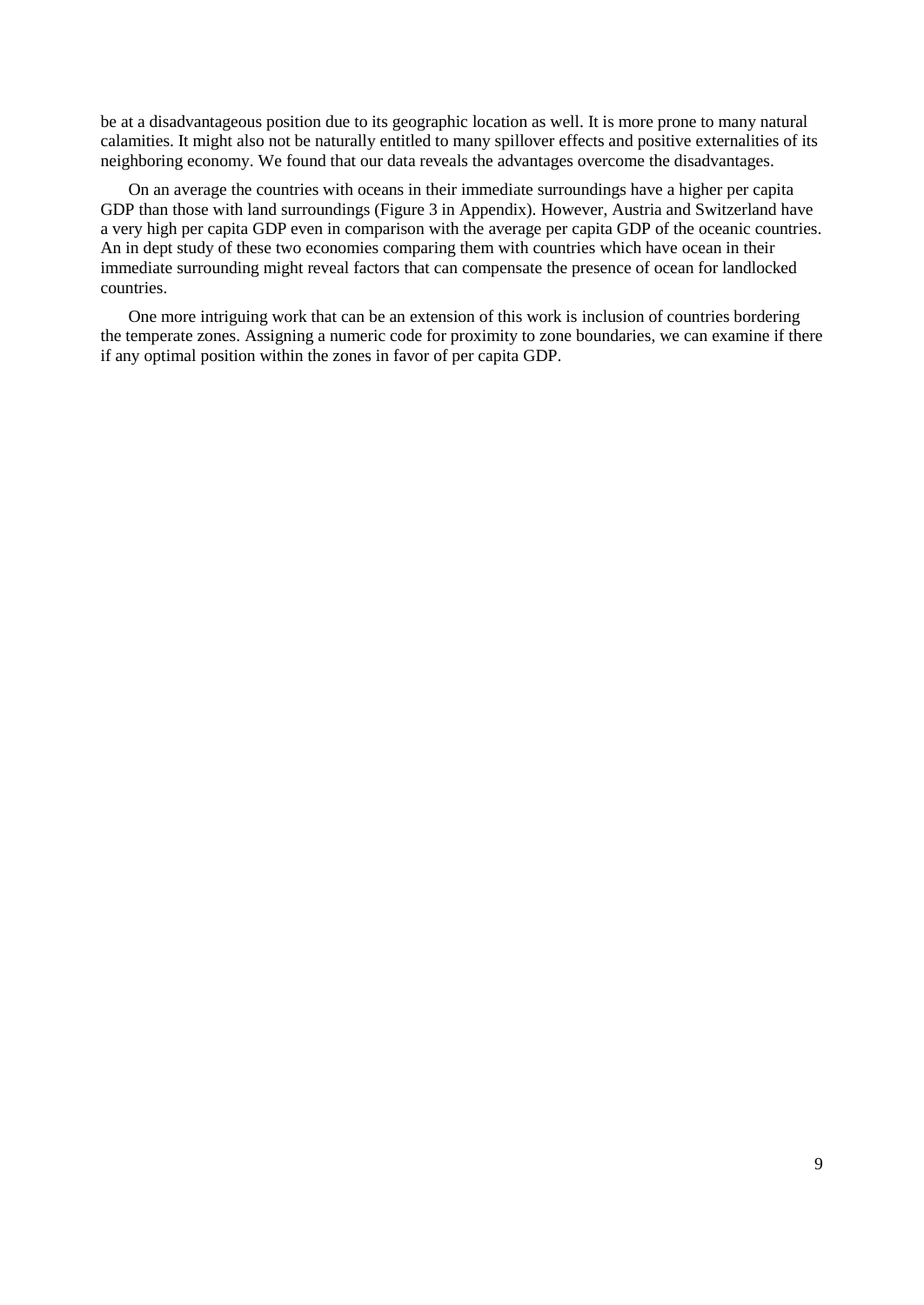be at a disadvantageous position due to its geographic location as well. It is more prone to many natural calamities. It might also not be naturally entitled to many spillover effects and positive externalities of its neighboring economy. We found that our data reveals the advantages overcome the disadvantages.

On an average the countries with oceans in their immediate surroundings have a higher per capita GDP than those with land surroundings (Figure 3 in Appendix). However, Austria and Switzerland have a very high per capita GDP even in comparison with the average per capita GDP of the oceanic countries. An in dept study of these two economies comparing them with countries which have ocean in their immediate surrounding might reveal factors that can compensate the presence of ocean for landlocked countries.

One more intriguing work that can be an extension of this work is inclusion of countries bordering the temperate zones. Assigning a numeric code for proximity to zone boundaries, we can examine if there if any optimal position within the zones in favor of per capita GDP.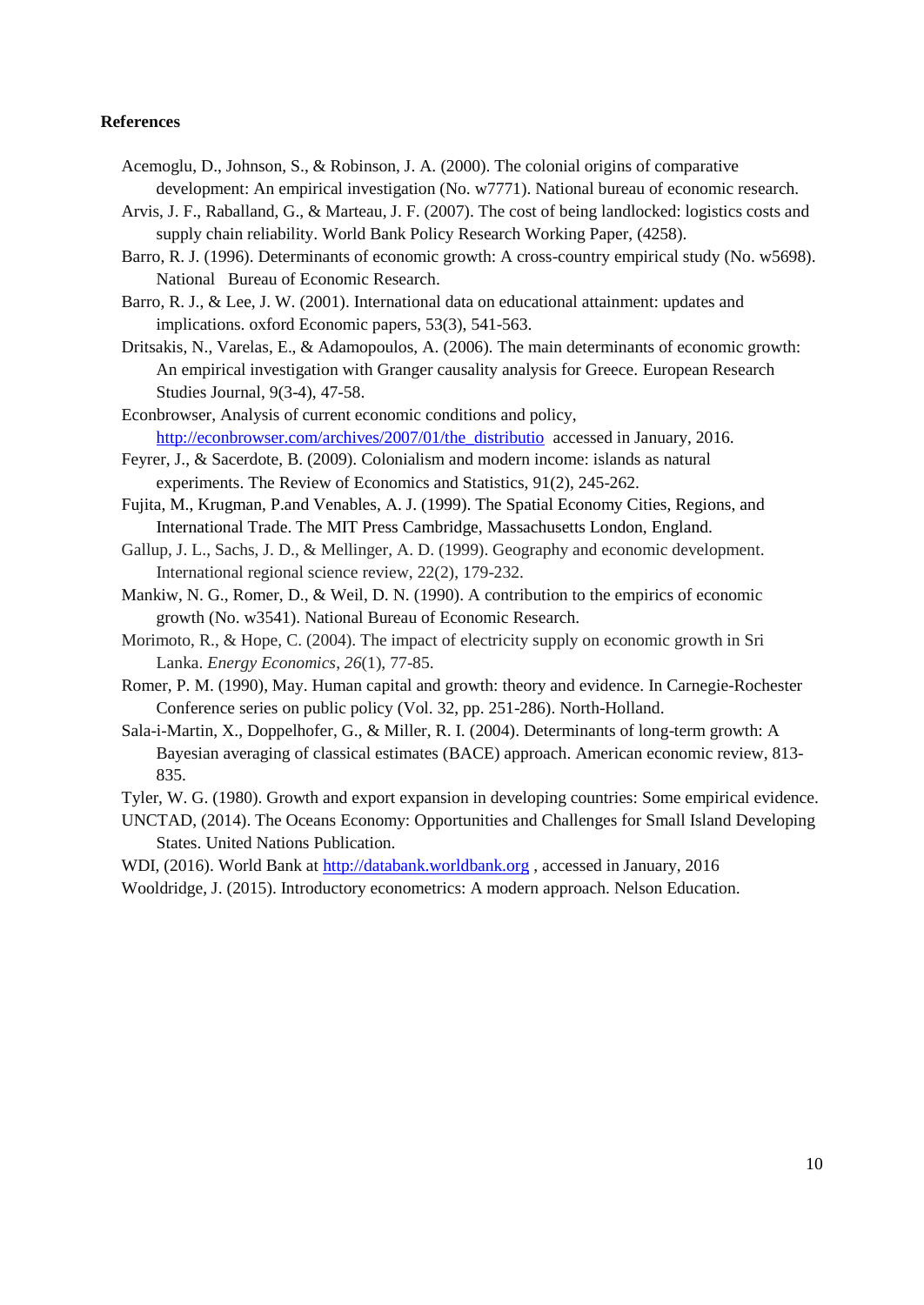#### **References**

- Acemoglu, D., Johnson, S., & Robinson, J. A. (2000). The colonial origins of comparative development: An empirical investigation (No. w7771). National bureau of economic research.
- Arvis, J. F., Raballand, G., & Marteau, J. F. (2007). The cost of being landlocked: logistics costs and supply chain reliability. World Bank Policy Research Working Paper, (4258).
- Barro, R. J. (1996). Determinants of economic growth: A cross-country empirical study (No. w5698). National Bureau of Economic Research.
- Barro, R. J., & Lee, J. W. (2001). International data on educational attainment: updates and implications. oxford Economic papers, 53(3), 541-563.
- Dritsakis, N., Varelas, E., & Adamopoulos, A. (2006). The main determinants of economic growth: An empirical investigation with Granger causality analysis for Greece. European Research Studies Journal, 9(3-4), 47-58.
- Econbrowser, Analysis of current economic conditions and policy, [http://econbrowser.com/archives/2007/01/the\\_distributio](http://econbrowser.com/archives/2007/01/the_distributio) accessed in January, 2016.
- Feyrer, J., & Sacerdote, B. (2009). Colonialism and modern income: islands as natural experiments. The Review of Economics and Statistics, 91(2), 245-262.
- Fujita, M., Krugman, P.and Venables, A. J. (1999). The Spatial Economy Cities, Regions, and International Trade. The MIT Press Cambridge, Massachusetts London, England.
- Gallup, J. L., Sachs, J. D., & Mellinger, A. D. (1999). Geography and economic development. International regional science review, 22(2), 179-232.
- Mankiw, N. G., Romer, D., & Weil, D. N. (1990). A contribution to the empirics of economic growth (No. w3541). National Bureau of Economic Research.
- Morimoto, R., & Hope, C. (2004). The impact of electricity supply on economic growth in Sri Lanka. *Energy Economics*, *26*(1), 77-85.
- Romer, P. M. (1990), May. Human capital and growth: theory and evidence. In Carnegie-Rochester Conference series on public policy (Vol. 32, pp. 251-286). North-Holland.
- Sala-i-Martin, X., Doppelhofer, G., & Miller, R. I. (2004). Determinants of long-term growth: A Bayesian averaging of classical estimates (BACE) approach. American economic review, 813- 835.

Tyler, W. G. (1980). Growth and export expansion in developing countries: Some empirical evidence.

UNCTAD, (2014). The Oceans Economy: Opportunities and Challenges for Small Island Developing States. United Nations Publication.

WDI, (2016). World Bank at [http://databank.worldbank.org](http://databank.worldbank.org/) , accessed in January, 2016 Wooldridge, J. (2015). Introductory econometrics: A modern approach. Nelson Education.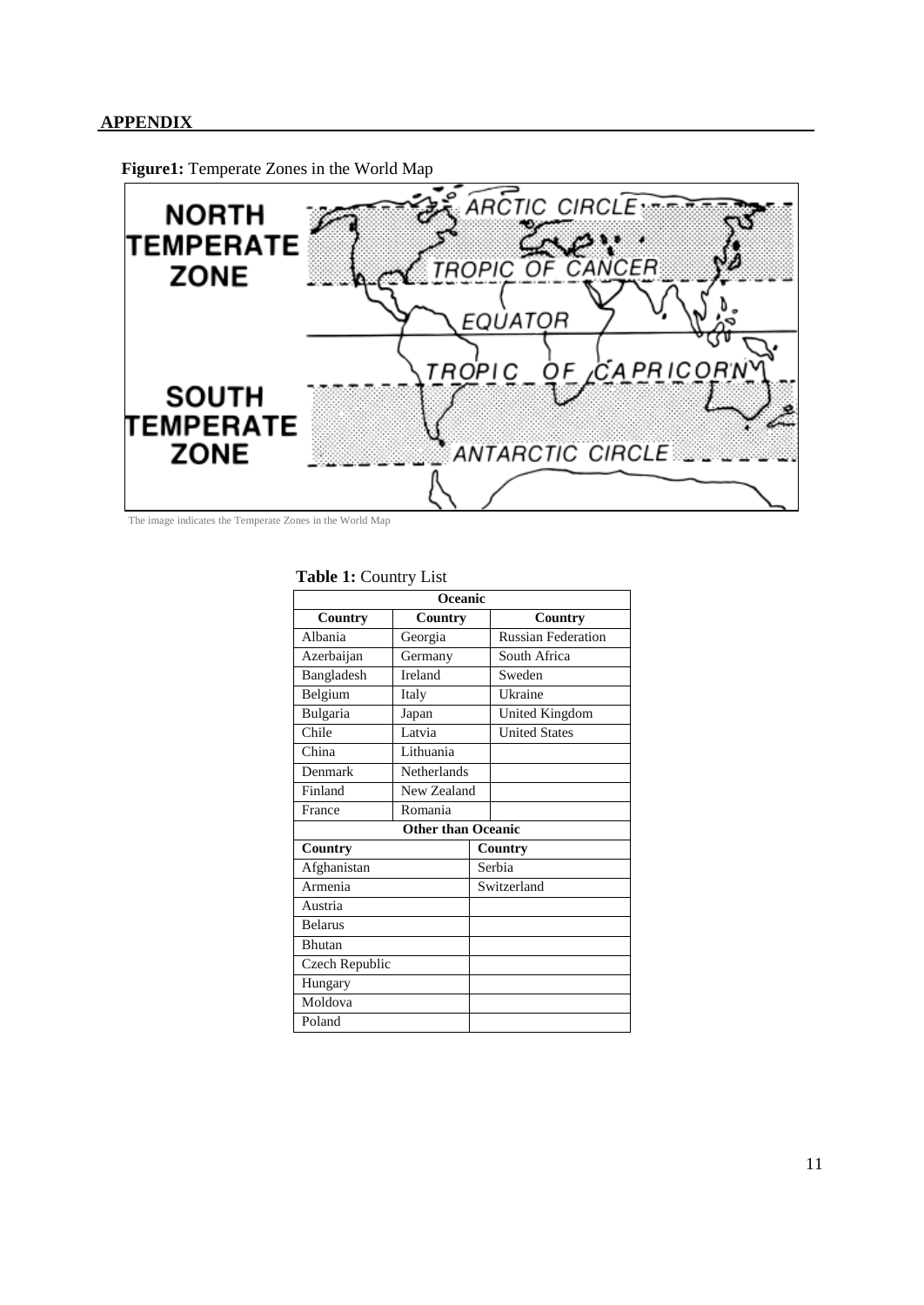## **APPENDIX**



**Figure1:** Temperate Zones in the World Map

The image indicates the Temperate Zones in the World Map

### **Table 1:** Country List

| Oceanic                   |             |             |                           |  |  |
|---------------------------|-------------|-------------|---------------------------|--|--|
| Country                   | Country     |             | Country                   |  |  |
| Albania                   | Georgia     |             | <b>Russian Federation</b> |  |  |
| Azerbaijan                | Germany     |             | South Africa              |  |  |
| Bangladesh                | Ireland     |             | Sweden                    |  |  |
| Belgium                   | Italy       |             | Ukraine                   |  |  |
| Bulgaria                  | Japan       |             | United Kingdom            |  |  |
| Chile                     | Latvia      |             | <b>United States</b>      |  |  |
| China                     | Lithuania   |             |                           |  |  |
| Denmark                   | Netherlands |             |                           |  |  |
| Finland                   | New Zealand |             |                           |  |  |
| France                    | Romania     |             |                           |  |  |
| <b>Other than Oceanic</b> |             |             |                           |  |  |
| <b>Country</b>            |             | Country     |                           |  |  |
| Afghanistan               |             | Serbia      |                           |  |  |
| Armenia                   |             | Switzerland |                           |  |  |
| Austria                   |             |             |                           |  |  |
| <b>Belarus</b>            |             |             |                           |  |  |
| <b>Bhutan</b>             |             |             |                           |  |  |
| Czech Republic            |             |             |                           |  |  |
| Hungary                   |             |             |                           |  |  |
| Moldova                   |             |             |                           |  |  |
| Poland                    |             |             |                           |  |  |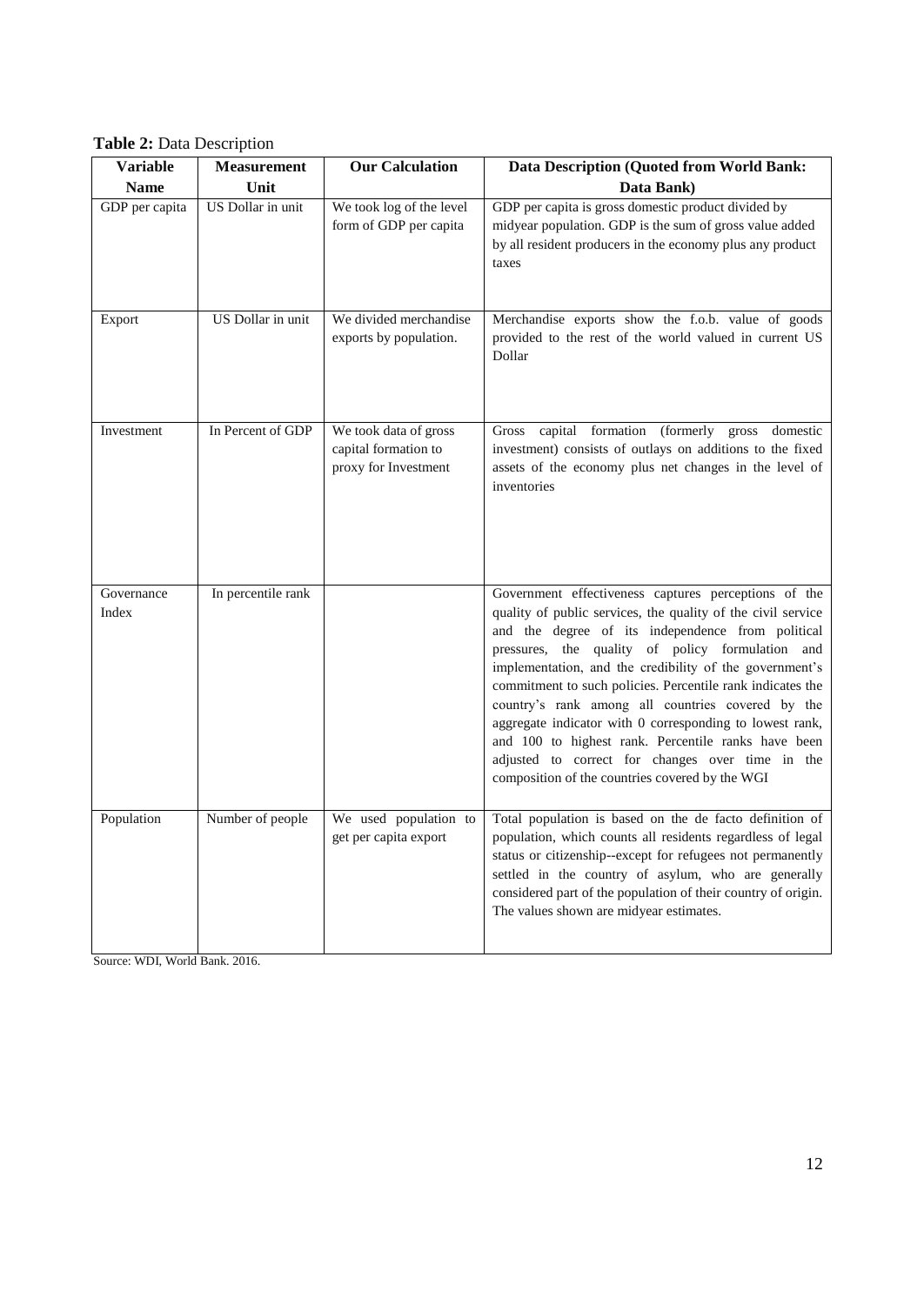**Table 2:** Data Description

| <b>Variable</b>     | <b>Measurement</b> | <b>Our Calculation</b>                                                | Data Description (Quoted from World Bank:                                                                                                                                                                                                                                                                                                                                                                                                                                                                                                                                                                                             |
|---------------------|--------------------|-----------------------------------------------------------------------|---------------------------------------------------------------------------------------------------------------------------------------------------------------------------------------------------------------------------------------------------------------------------------------------------------------------------------------------------------------------------------------------------------------------------------------------------------------------------------------------------------------------------------------------------------------------------------------------------------------------------------------|
| <b>Name</b>         | Unit               |                                                                       | Data Bank)                                                                                                                                                                                                                                                                                                                                                                                                                                                                                                                                                                                                                            |
| GDP per capita      | US Dollar in unit  | We took log of the level<br>form of GDP per capita                    | GDP per capita is gross domestic product divided by<br>midyear population. GDP is the sum of gross value added<br>by all resident producers in the economy plus any product<br>taxes                                                                                                                                                                                                                                                                                                                                                                                                                                                  |
| Export              | US Dollar in unit  | We divided merchandise<br>exports by population.                      | Merchandise exports show the f.o.b. value of goods<br>provided to the rest of the world valued in current US<br>Dollar                                                                                                                                                                                                                                                                                                                                                                                                                                                                                                                |
| Investment          | In Percent of GDP  | We took data of gross<br>capital formation to<br>proxy for Investment | Gross capital formation (formerly gross domestic<br>investment) consists of outlays on additions to the fixed<br>assets of the economy plus net changes in the level of<br>inventories                                                                                                                                                                                                                                                                                                                                                                                                                                                |
| Governance<br>Index | In percentile rank |                                                                       | Government effectiveness captures perceptions of the<br>quality of public services, the quality of the civil service<br>and the degree of its independence from political<br>pressures, the quality of policy formulation and<br>implementation, and the credibility of the government's<br>commitment to such policies. Percentile rank indicates the<br>country's rank among all countries covered by the<br>aggregate indicator with 0 corresponding to lowest rank,<br>and 100 to highest rank. Percentile ranks have been<br>adjusted to correct for changes over time in the<br>composition of the countries covered by the WGI |
| Population          | Number of people   | We used population to<br>get per capita export                        | Total population is based on the de facto definition of<br>population, which counts all residents regardless of legal<br>status or citizenship--except for refugees not permanently<br>settled in the country of asylum, who are generally<br>considered part of the population of their country of origin.<br>The values shown are midyear estimates.                                                                                                                                                                                                                                                                                |

Source: WDI, World Bank. 2016.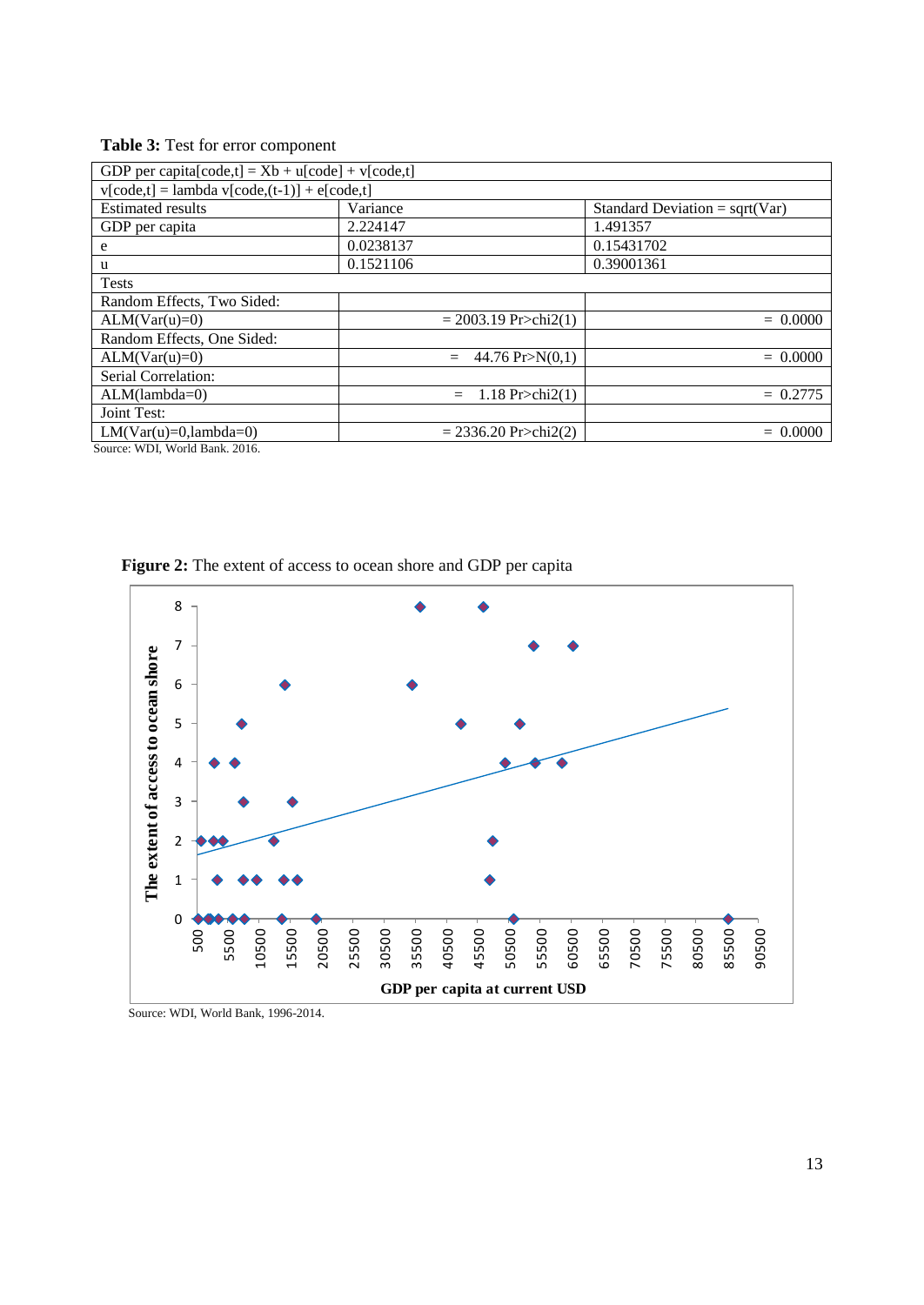| Table 3: Test for error component |  |
|-----------------------------------|--|
|-----------------------------------|--|

| GDP per capita[code,t] = $Xb + u[code] + v[code]$ . |                                         |                                  |  |  |  |
|-----------------------------------------------------|-----------------------------------------|----------------------------------|--|--|--|
| $v[code,t] = lambda v[code,(t-1)] + e[code,t]$      |                                         |                                  |  |  |  |
| <b>Estimated results</b>                            | Variance                                | Standard Deviation = $sqrt(Var)$ |  |  |  |
| GDP per capita                                      | 2.224147                                | 1.491357                         |  |  |  |
| e                                                   | 0.0238137                               | 0.15431702                       |  |  |  |
| u                                                   | 0.1521106                               | 0.39001361                       |  |  |  |
| <b>Tests</b>                                        |                                         |                                  |  |  |  |
| Random Effects, Two Sided:                          |                                         |                                  |  |  |  |
| $ALM(Var(u)=0)$                                     | $= 2003.19$ Pr>chi2(1)                  | $= 0.0000$                       |  |  |  |
| Random Effects, One Sided:                          |                                         |                                  |  |  |  |
| $ALM(Var(u)=0)$                                     | 44.76 $Pr>N(0,1)$<br>$=$                | $= 0.0000$                       |  |  |  |
| Serial Correlation:                                 |                                         |                                  |  |  |  |
| $ALM(lambda=0)$                                     | 1.18 $Pr > \text{chi2}(1)$<br>$=$       | $= 0.2775$                       |  |  |  |
| <b>Joint Test:</b>                                  |                                         |                                  |  |  |  |
| $LM(Var(u)=0,lambda=0)$                             | $= 2336.20 \text{ Pr}\ge \text{chi}(2)$ | $= 0.0000$                       |  |  |  |

Source: WDI, World Bank. 2016.

**Figure 2:** The extent of access to ocean shore and GDP per capita



Source: WDI, World Bank, 1996-2014.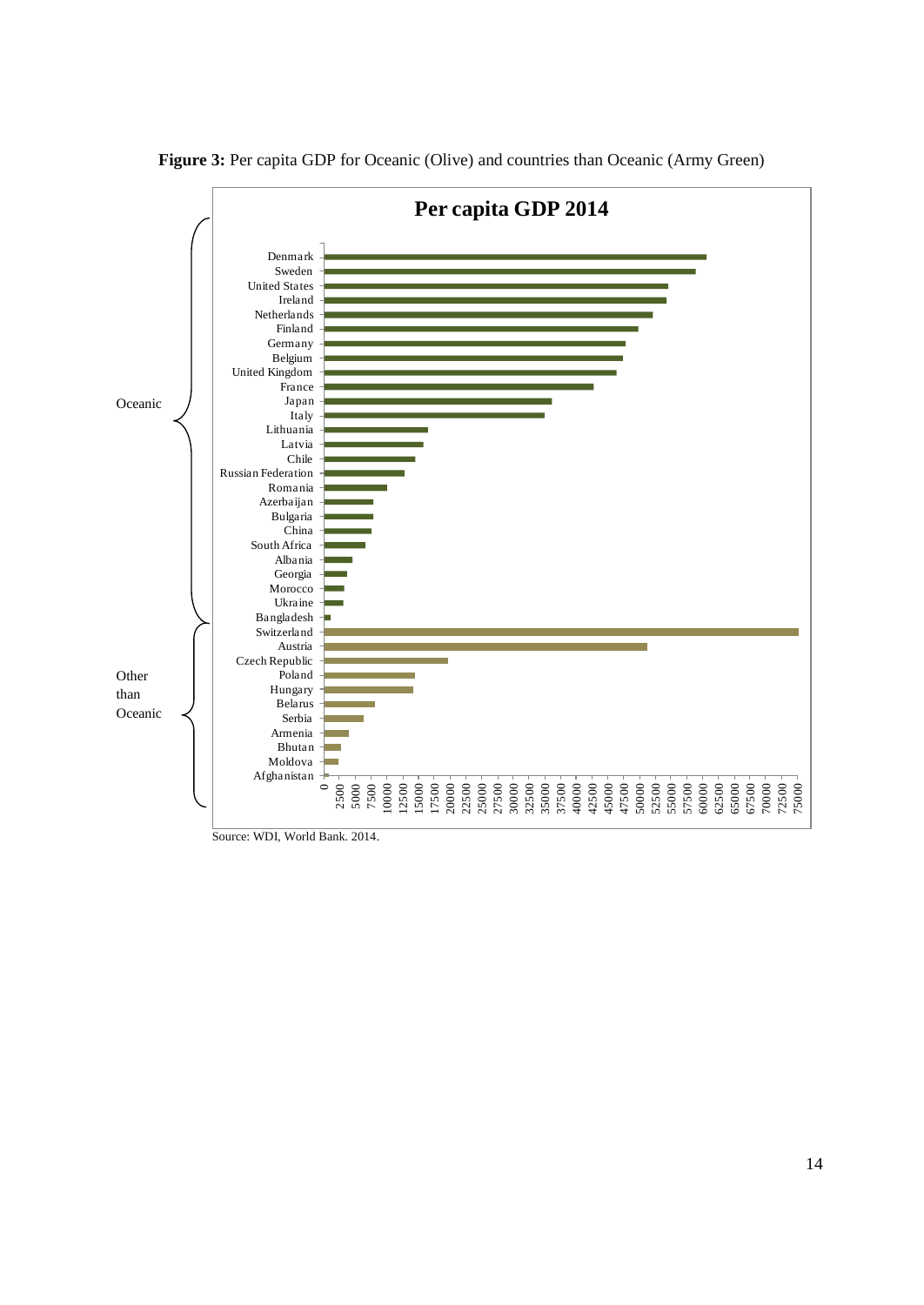

**Figure 3:** Per capita GDP for Oceanic (Olive) and countries than Oceanic (Army Green)

Source: WDI, World Bank. 2014.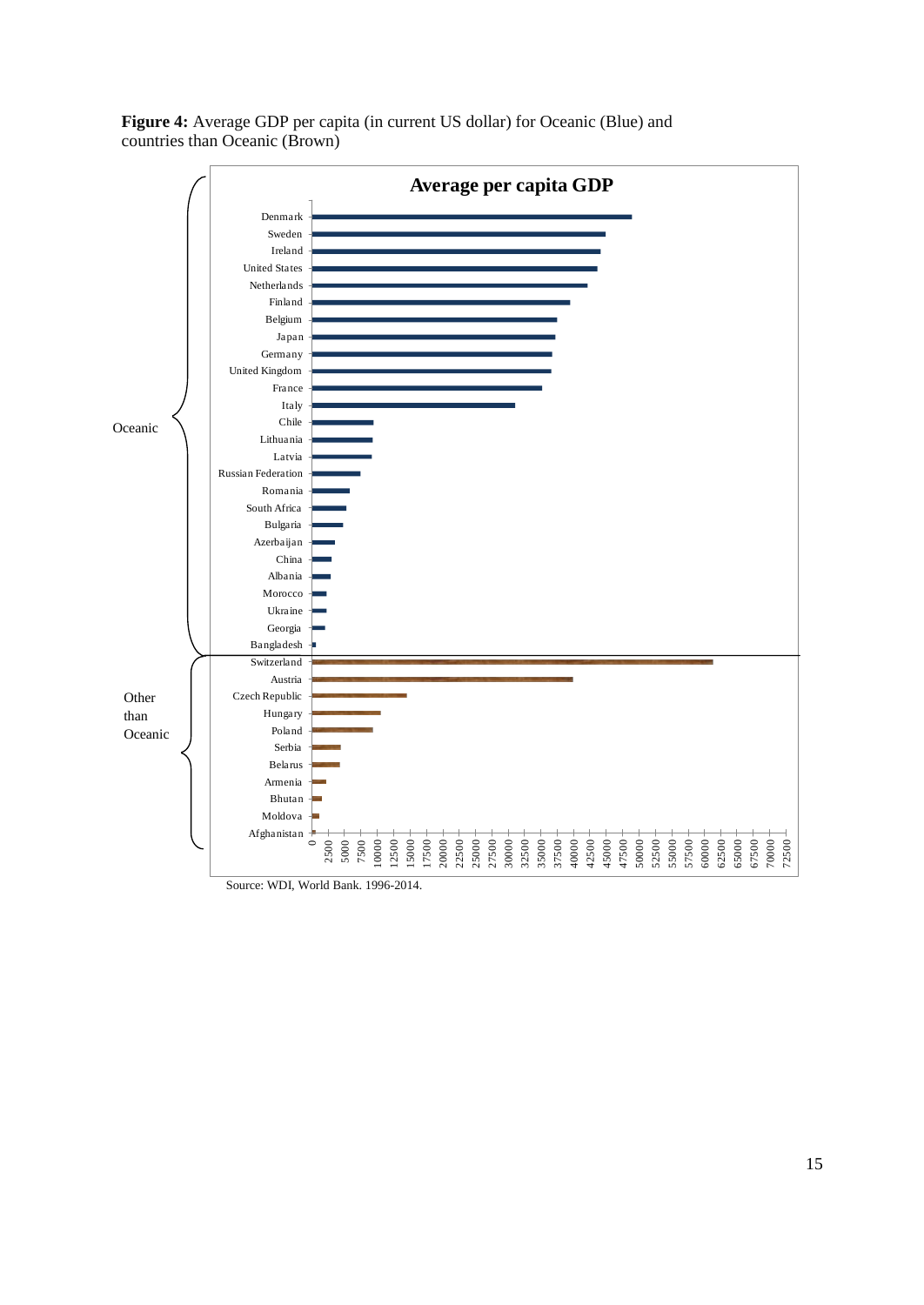

**Figure 4:** Average GDP per capita (in current US dollar) for Oceanic (Blue) and countries than Oceanic (Brown)

Source: WDI, World Bank. 1996-2014.